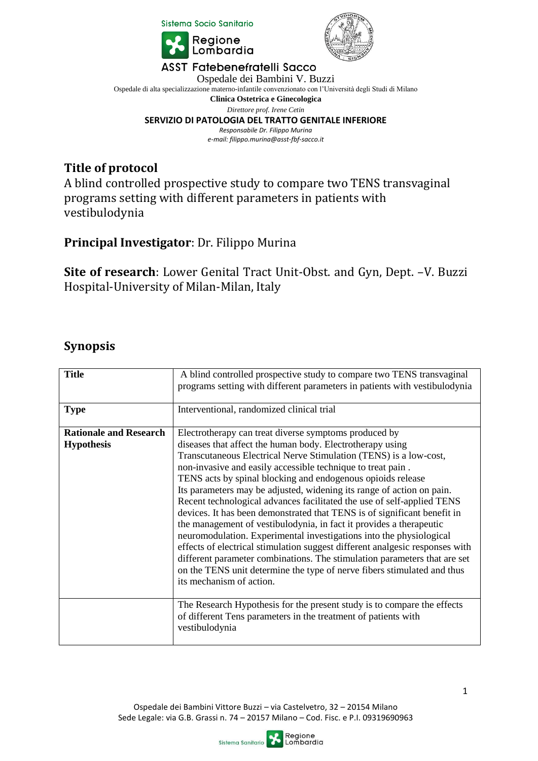

## **Title of protocol**

## **Principal Investigator**: Dr. Filippo Murina

#### **Synopsis**

|                                                                                                                                                                                                                                                                                                                                                                                          | <b>LOUDOUAIG</b>                                                                                                                                                                                                                                                                                                                                                                                                                                                                                                                                                                                                                                                                                                                                                                                                                                                                                                                                                       |  |  |  |  |
|------------------------------------------------------------------------------------------------------------------------------------------------------------------------------------------------------------------------------------------------------------------------------------------------------------------------------------------------------------------------------------------|------------------------------------------------------------------------------------------------------------------------------------------------------------------------------------------------------------------------------------------------------------------------------------------------------------------------------------------------------------------------------------------------------------------------------------------------------------------------------------------------------------------------------------------------------------------------------------------------------------------------------------------------------------------------------------------------------------------------------------------------------------------------------------------------------------------------------------------------------------------------------------------------------------------------------------------------------------------------|--|--|--|--|
| <b>ASST Fatebenefratelli Sacco</b><br>Ospedale dei Bambini V. Buzzi<br>Ospedale di alta specializzazione materno-infantile convenzionato con l'Università degli Studi di Milano<br>Clinica Ostetrica e Ginecologica<br>Direttore prof. Irene Cetin<br>SERVIZIO DI PATOLOGIA DEL TRATTO GENITALE INFERIORE<br>Responsabile Dr. Filippo Murina<br>e-mail: filippo.murina@asst-fbf-sacco.it |                                                                                                                                                                                                                                                                                                                                                                                                                                                                                                                                                                                                                                                                                                                                                                                                                                                                                                                                                                        |  |  |  |  |
| <b>Title of protocol</b><br>A blind controlled prospective study to compare two TENS transvaginal<br>programs setting with different parameters in patients with<br>vestibulodynia                                                                                                                                                                                                       |                                                                                                                                                                                                                                                                                                                                                                                                                                                                                                                                                                                                                                                                                                                                                                                                                                                                                                                                                                        |  |  |  |  |
|                                                                                                                                                                                                                                                                                                                                                                                          | <b>Principal Investigator: Dr. Filippo Murina</b>                                                                                                                                                                                                                                                                                                                                                                                                                                                                                                                                                                                                                                                                                                                                                                                                                                                                                                                      |  |  |  |  |
|                                                                                                                                                                                                                                                                                                                                                                                          | <b>Site of research</b> : Lower Genital Tract Unit-Obst. and Gyn, Dept. -V. Buzzi<br>Hospital-University of Milan-Milan, Italy                                                                                                                                                                                                                                                                                                                                                                                                                                                                                                                                                                                                                                                                                                                                                                                                                                         |  |  |  |  |
| <b>Synopsis</b>                                                                                                                                                                                                                                                                                                                                                                          |                                                                                                                                                                                                                                                                                                                                                                                                                                                                                                                                                                                                                                                                                                                                                                                                                                                                                                                                                                        |  |  |  |  |
| <b>Title</b>                                                                                                                                                                                                                                                                                                                                                                             | A blind controlled prospective study to compare two TENS transvaginal<br>programs setting with different parameters in patients with vestibulodynia                                                                                                                                                                                                                                                                                                                                                                                                                                                                                                                                                                                                                                                                                                                                                                                                                    |  |  |  |  |
| <b>Type</b>                                                                                                                                                                                                                                                                                                                                                                              | Interventional, randomized clinical trial                                                                                                                                                                                                                                                                                                                                                                                                                                                                                                                                                                                                                                                                                                                                                                                                                                                                                                                              |  |  |  |  |
| <b>Rationale and Research</b><br><b>Hypothesis</b>                                                                                                                                                                                                                                                                                                                                       | Electrotherapy can treat diverse symptoms produced by<br>diseases that affect the human body. Electrotherapy using<br>Transcutaneous Electrical Nerve Stimulation (TENS) is a low-cost,<br>non-invasive and easily accessible technique to treat pain.<br>TENS acts by spinal blocking and endogenous opioids release<br>Its parameters may be adjusted, widening its range of action on pain.<br>Recent technological advances facilitated the use of self-applied TENS<br>devices. It has been demonstrated that TENS is of significant benefit in<br>the management of vestibulodynia, in fact it provides a therapeutic<br>neuromodulation. Experimental investigations into the physiological<br>effects of electrical stimulation suggest different analgesic responses with<br>different parameter combinations. The stimulation parameters that are set<br>on the TENS unit determine the type of nerve fibers stimulated and thus<br>its mechanism of action. |  |  |  |  |
|                                                                                                                                                                                                                                                                                                                                                                                          | The Research Hypothesis for the present study is to compare the effects<br>of different Tens parameters in the treatment of patients with<br>vestibulodynia                                                                                                                                                                                                                                                                                                                                                                                                                                                                                                                                                                                                                                                                                                                                                                                                            |  |  |  |  |
| 1<br>Ospedale dei Bambini Vittore Buzzi - via Castelvetro, 32 - 20154 Milano<br>Sede Legale: via G.B. Grassi n. 74 - 20157 Milano - Cod. Fisc. e P.I. 09319690963<br>Regione<br>Lombardia<br>Sistema Sanitario                                                                                                                                                                           |                                                                                                                                                                                                                                                                                                                                                                                                                                                                                                                                                                                                                                                                                                                                                                                                                                                                                                                                                                        |  |  |  |  |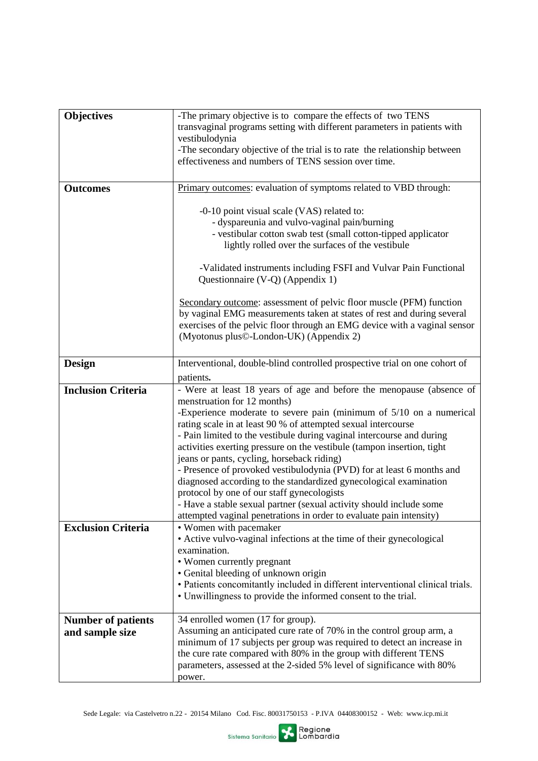| <b>Objectives</b>         | -The primary objective is to compare the effects of two TENS                                                                               |
|---------------------------|--------------------------------------------------------------------------------------------------------------------------------------------|
|                           | transvaginal programs setting with different parameters in patients with                                                                   |
|                           | vestibulodynia                                                                                                                             |
|                           | -The secondary objective of the trial is to rate the relationship between                                                                  |
|                           | effectiveness and numbers of TENS session over time.                                                                                       |
|                           |                                                                                                                                            |
| <b>Outcomes</b>           | Primary outcomes: evaluation of symptoms related to VBD through:                                                                           |
|                           |                                                                                                                                            |
|                           | -0-10 point visual scale (VAS) related to:                                                                                                 |
|                           | - dyspareunia and vulvo-vaginal pain/burning<br>- vestibular cotton swab test (small cotton-tipped applicator                              |
|                           | lightly rolled over the surfaces of the vestibule                                                                                          |
|                           |                                                                                                                                            |
|                           | -Validated instruments including FSFI and Vulvar Pain Functional                                                                           |
|                           | Questionnaire (V-Q) (Appendix 1)                                                                                                           |
|                           |                                                                                                                                            |
|                           | Secondary outcome: assessment of pelvic floor muscle (PFM) function                                                                        |
|                           | by vaginal EMG measurements taken at states of rest and during several                                                                     |
|                           | exercises of the pelvic floor through an EMG device with a vaginal sensor                                                                  |
|                           | (Myotonus plus©-London-UK) (Appendix 2)                                                                                                    |
|                           |                                                                                                                                            |
| Design                    | Interventional, double-blind controlled prospective trial on one cohort of                                                                 |
|                           | patients.                                                                                                                                  |
| <b>Inclusion Criteria</b> | - Were at least 18 years of age and before the menopause (absence of                                                                       |
|                           | menstruation for 12 months)                                                                                                                |
|                           | -Experience moderate to severe pain (minimum of $5/10$ on a numerical                                                                      |
|                           | rating scale in at least 90 % of attempted sexual intercourse                                                                              |
|                           | - Pain limited to the vestibule during vaginal intercourse and during                                                                      |
|                           | activities exerting pressure on the vestibule (tampon insertion, tight                                                                     |
|                           | jeans or pants, cycling, horseback riding)                                                                                                 |
|                           | - Presence of provoked vestibulodynia (PVD) for at least 6 months and                                                                      |
|                           | diagnosed according to the standardized gynecological examination<br>protocol by one of our staff gynecologists                            |
|                           | - Have a stable sexual partner (sexual activity should include some                                                                        |
|                           | attempted vaginal penetrations in order to evaluate pain intensity)                                                                        |
| <b>Exclusion Criteria</b> | • Women with pacemaker                                                                                                                     |
|                           | • Active vulvo-vaginal infections at the time of their gynecological                                                                       |
|                           | examination.                                                                                                                               |
|                           | • Women currently pregnant                                                                                                                 |
|                           | • Genital bleeding of unknown origin                                                                                                       |
|                           | · Patients concomitantly included in different interventional clinical trials.                                                             |
|                           | • Unwillingness to provide the informed consent to the trial.                                                                              |
|                           |                                                                                                                                            |
| <b>Number of patients</b> | 34 enrolled women (17 for group).                                                                                                          |
| and sample size           | Assuming an anticipated cure rate of 70% in the control group arm, a                                                                       |
|                           | minimum of 17 subjects per group was required to detect an increase in<br>the cure rate compared with 80% in the group with different TENS |
|                           | parameters, assessed at the 2-sided 5% level of significance with 80%                                                                      |
|                           | power.                                                                                                                                     |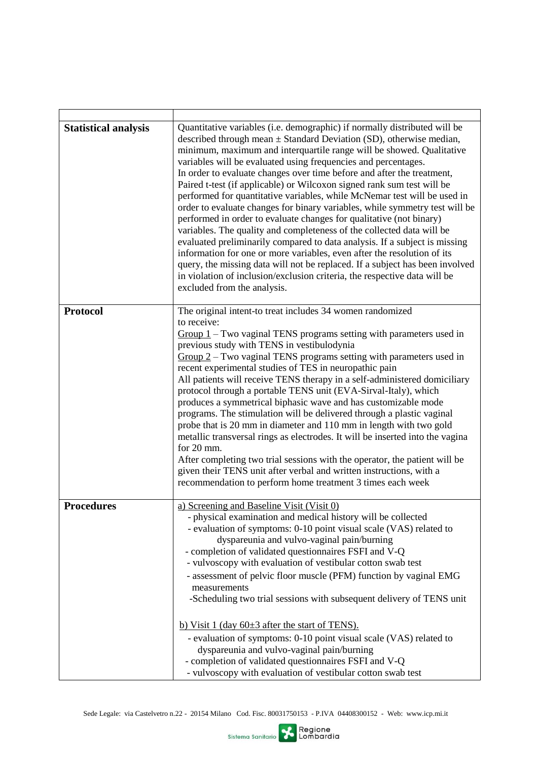| <b>Statistical analysis</b> | Quantitative variables (i.e. demographic) if normally distributed will be<br>described through mean $\pm$ Standard Deviation (SD), otherwise median,<br>minimum, maximum and interquartile range will be showed. Qualitative<br>variables will be evaluated using frequencies and percentages.<br>In order to evaluate changes over time before and after the treatment,<br>Paired t-test (if applicable) or Wilcoxon signed rank sum test will be<br>performed for quantitative variables, while McNemar test will be used in<br>order to evaluate changes for binary variables, while symmetry test will be<br>performed in order to evaluate changes for qualitative (not binary)<br>variables. The quality and completeness of the collected data will be<br>evaluated preliminarily compared to data analysis. If a subject is missing<br>information for one or more variables, even after the resolution of its<br>query, the missing data will not be replaced. If a subject has been involved<br>in violation of inclusion/exclusion criteria, the respective data will be<br>excluded from the analysis. |  |
|-----------------------------|--------------------------------------------------------------------------------------------------------------------------------------------------------------------------------------------------------------------------------------------------------------------------------------------------------------------------------------------------------------------------------------------------------------------------------------------------------------------------------------------------------------------------------------------------------------------------------------------------------------------------------------------------------------------------------------------------------------------------------------------------------------------------------------------------------------------------------------------------------------------------------------------------------------------------------------------------------------------------------------------------------------------------------------------------------------------------------------------------------------------|--|
| <b>Protocol</b>             | The original intent-to treat includes 34 women randomized                                                                                                                                                                                                                                                                                                                                                                                                                                                                                                                                                                                                                                                                                                                                                                                                                                                                                                                                                                                                                                                          |  |
|                             | to receive:<br>$Group 1-Two vaginal TENS programs setting with parameters used in$<br>previous study with TENS in vestibulodynia<br>$Group 2-Two vaginal TENS programs setting with parameters used in$<br>recent experimental studies of TES in neuropathic pain<br>All patients will receive TENS therapy in a self-administered domiciliary<br>protocol through a portable TENS unit (EVA-Sirval-Italy), which<br>produces a symmetrical biphasic wave and has customizable mode<br>programs. The stimulation will be delivered through a plastic vaginal<br>probe that is 20 mm in diameter and 110 mm in length with two gold<br>metallic transversal rings as electrodes. It will be inserted into the vagina<br>for $20 \text{ mm}$ .<br>After completing two trial sessions with the operator, the patient will be<br>given their TENS unit after verbal and written instructions, with a<br>recommendation to perform home treatment 3 times each week                                                                                                                                                    |  |
| <b>Procedures</b>           | a) Screening and Baseline Visit (Visit 0)<br>- physical examination and medical history will be collected<br>- evaluation of symptoms: 0-10 point visual scale (VAS) related to<br>dyspareunia and vulvo-vaginal pain/burning<br>- completion of validated questionnaires FSFI and V-Q<br>- vulvoscopy with evaluation of vestibular cotton swab test<br>- assessment of pelvic floor muscle (PFM) function by vaginal EMG<br>measurements<br>-Scheduling two trial sessions with subsequent delivery of TENS unit<br>b) Visit 1 (day $60\pm 3$ after the start of TENS).                                                                                                                                                                                                                                                                                                                                                                                                                                                                                                                                          |  |
|                             | - evaluation of symptoms: 0-10 point visual scale (VAS) related to<br>dyspareunia and vulvo-vaginal pain/burning<br>- completion of validated questionnaires FSFI and V-Q<br>- vulvoscopy with evaluation of vestibular cotton swab test                                                                                                                                                                                                                                                                                                                                                                                                                                                                                                                                                                                                                                                                                                                                                                                                                                                                           |  |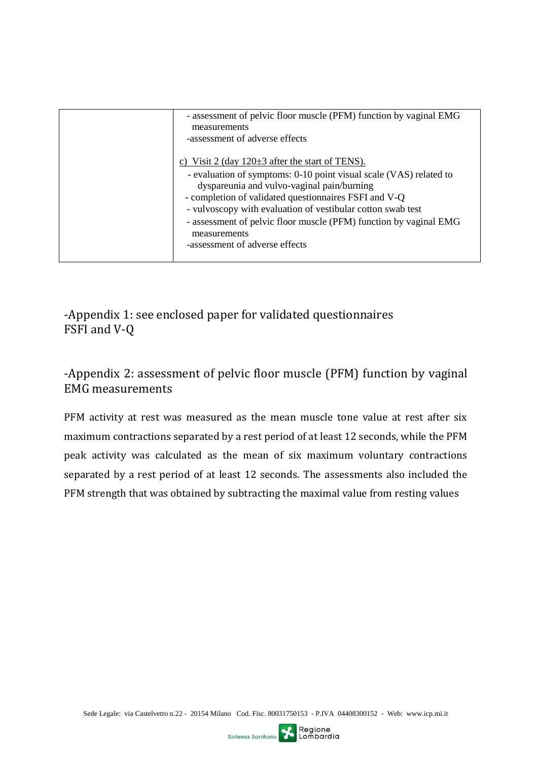| - assessment of pelvic floor muscle (PFM) function by vaginal EMG<br>measurements<br>-assessment of adverse effects                                                                                                                                                                                                                                                                                                     |
|-------------------------------------------------------------------------------------------------------------------------------------------------------------------------------------------------------------------------------------------------------------------------------------------------------------------------------------------------------------------------------------------------------------------------|
| c) Visit 2 (day $120\pm 3$ after the start of TENS).<br>- evaluation of symptoms: 0-10 point visual scale (VAS) related to<br>dyspareunia and vulvo-vaginal pain/burning<br>- completion of validated questionnaires FSFI and V-Q<br>- vulvoscopy with evaluation of vestibular cotton swab test<br>- assessment of pelvic floor muscle (PFM) function by vaginal EMG<br>measurements<br>-assessment of adverse effects |

-Appendix 1: see enclosed paper for validated questionnaires FSFI and V-Q

# -Appendix 2: assessment of pelvic floor muscle (PFM) function by vaginal EMG measurements

PFM activity at rest was measured as the mean muscle tone value at rest after six maximum contractions separated by a rest period of at least 12 seconds, while the PFM peak activity was calculated as the mean of six maximum voluntary contractions separated by a rest period of at least 12 seconds. The assessments also included the PFM strength that was obtained by subtracting the maximal value from resting values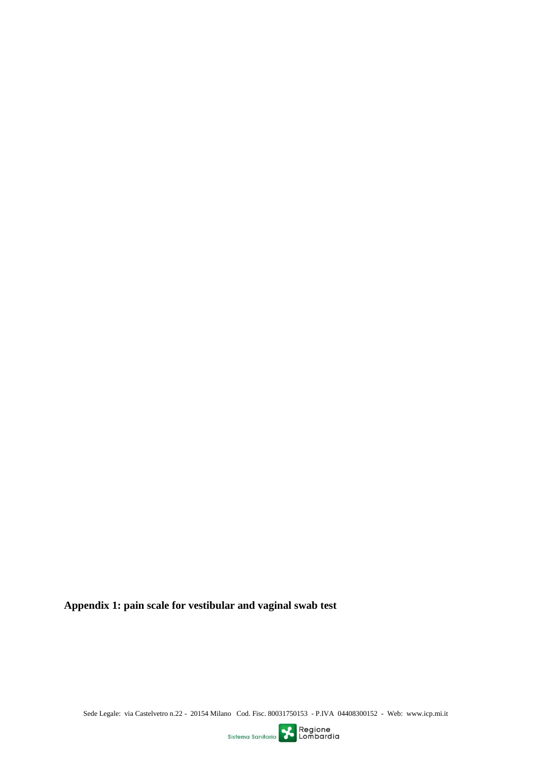**Appendix 1: pain scale for vestibular and vaginal swab test**

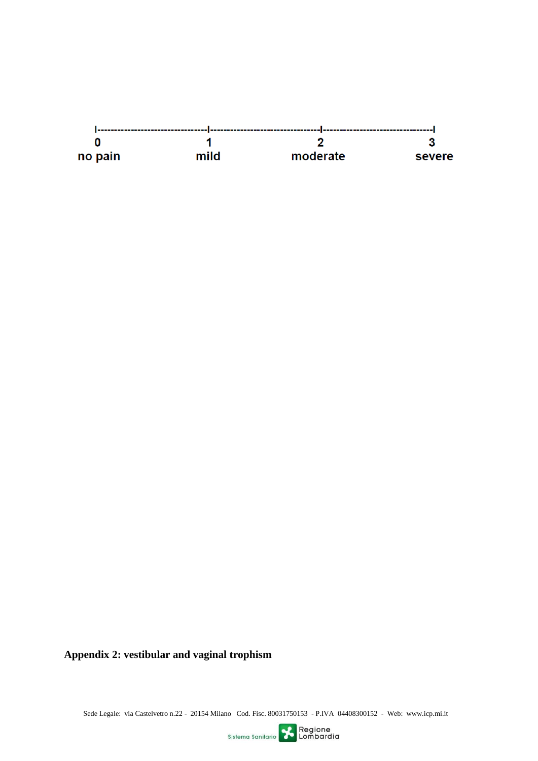

**Appendix 2: vestibular and vaginal trophism**